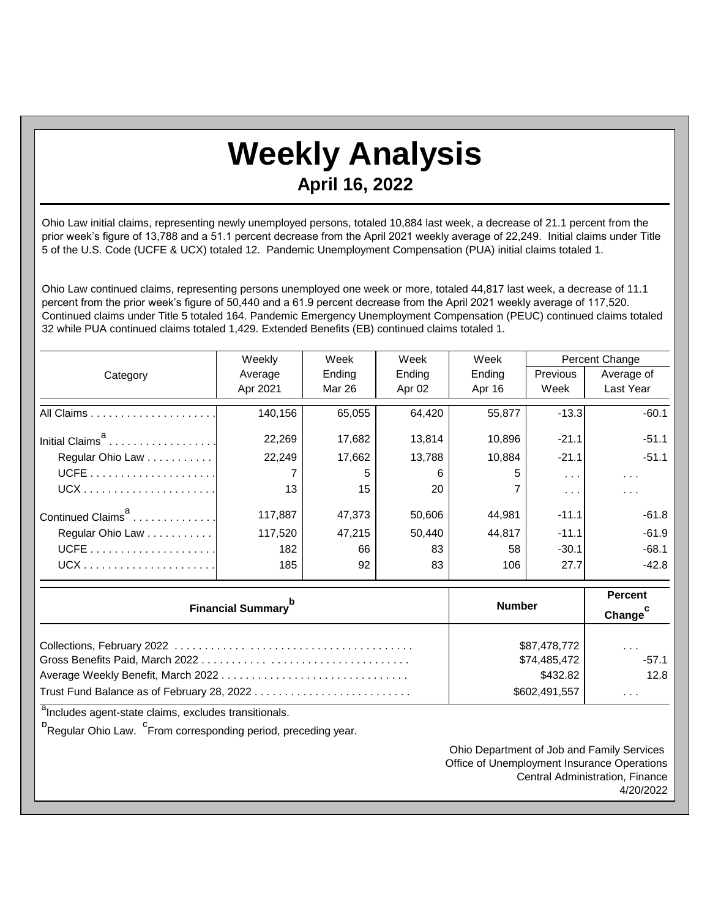## **Weekly Analysis April 16, 2022**

Ohio Law initial claims, representing newly unemployed persons, totaled 10,884 last week, a decrease of 21.1 percent from the prior week's figure of 13,788 and a 51.1 percent decrease from the April 2021 weekly average of 22,249. Initial claims under Title 5 of the U.S. Code (UCFE & UCX) totaled 12. Pandemic Unemployment Compensation (PUA) initial claims totaled 1.

Ohio Law continued claims, representing persons unemployed one week or more, totaled 44,817 last week, a decrease of 11.1 percent from the prior week's figure of 50,440 and a 61.9 percent decrease from the April 2021 weekly average of 117,520. Continued claims under Title 5 totaled 164. Pandemic Emergency Unemployment Compensation (PEUC) continued claims totaled 32 while PUA continued claims totaled 1,429. Extended Benefits (EB) continued claims totaled 1.

|                               | Weekly   | Week   | Week   | Week   | <b>Percent Change</b> |                      |
|-------------------------------|----------|--------|--------|--------|-----------------------|----------------------|
| Category                      | Average  | Ending | Ending | Ending | Previous              | Average of           |
|                               | Apr 2021 | Mar 26 | Apr 02 | Apr 16 | Week                  | Last Year            |
|                               | 140,156  | 65,055 | 64,420 | 55,877 | $-13.3$               | $-60.1$              |
| Initial Claims <sup>a</sup>   | 22,269   | 17,682 | 13,814 | 10,896 | $-21.1$               | $-51.1$              |
| Regular Ohio Law              | 22,249   | 17,662 | 13,788 | 10,884 | $-21.1$               | $-51.1$              |
|                               |          | 5      | 6      | 5      | $\cdots$              | $\sim$ $\sim$ $\sim$ |
|                               | 13       | 15     | 20     |        | $\cdots$              | $\cdots$             |
| Continued Claims <sup>a</sup> | 117,887  | 47,373 | 50,606 | 44,981 | $-11.1$               | $-61.8$              |
| Regular Ohio Law              | 117,520  | 47,215 | 50,440 | 44,817 | $-11.1$               | $-61.9$              |
|                               | 182      | 66     | 83     | 58     | $-30.1$               | $-68.1$              |
|                               | 185      | 92     | 83     | 106    | 27.7                  | $-42.8$              |

| Financial Summary <sup>p</sup> | <b>Number</b>                | <b>Percent</b><br>Change        |
|--------------------------------|------------------------------|---------------------------------|
|                                | \$87,478,772<br>\$74,485,472 | $\sim$ $\sim$ $\sim$<br>$-57.1$ |
| \$432.82                       |                              | 12.8                            |
|                                | \$602,491,557                | $\cdots$                        |

<sup>a</sup>Includes agent-state claims, excludes transitionals.

<sup>b</sup><br>Regular Ohio Law. <sup>C</sup>From corresponding period, preceding year.

Ohio Department of Job and Family Services Office of Unemployment Insurance Operations Central Administration, Finance 4/20/2022